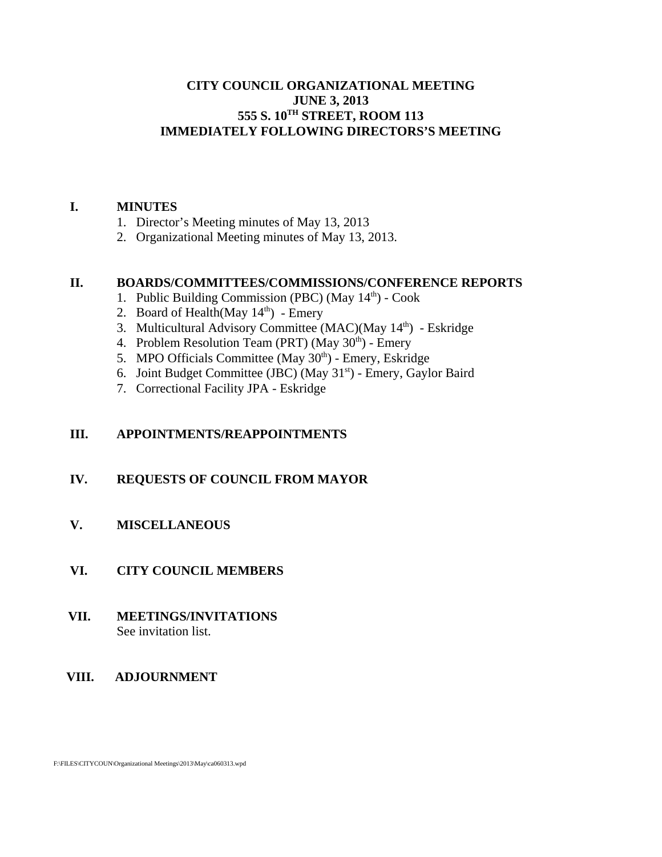## **CITY COUNCIL ORGANIZATIONAL MEETING JUNE 3, 2013 555 S. 10TH STREET, ROOM 113 IMMEDIATELY FOLLOWING DIRECTORS'S MEETING**

#### **I. MINUTES**

- 1. Director's Meeting minutes of May 13, 2013
- 2. Organizational Meeting minutes of May 13, 2013.

### **II. BOARDS/COMMITTEES/COMMISSIONS/CONFERENCE REPORTS**

- 1. Public Building Commission (PBC) (May 14<sup>th</sup>) Cook
- 2. Board of Health $(May 14<sup>th</sup>)$  Emery
- 3. Multicultural Advisory Committee (MAC)(May 14<sup>th</sup>) Eskridge
- 4. Problem Resolution Team (PRT) (May  $30<sup>th</sup>$ ) Emery
- 5. MPO Officials Committee (May  $30<sup>th</sup>$ ) Emery, Eskridge
- 6. Joint Budget Committee (JBC) (May  $31<sup>st</sup>$ ) Emery, Gaylor Baird
- 7. Correctional Facility JPA Eskridge

### **III. APPOINTMENTS/REAPPOINTMENTS**

#### **IV. REQUESTS OF COUNCIL FROM MAYOR**

### **V. MISCELLANEOUS**

#### **VI. CITY COUNCIL MEMBERS**

#### **VII. MEETINGS/INVITATIONS** See invitation list.

#### **VIII. ADJOURNMENT**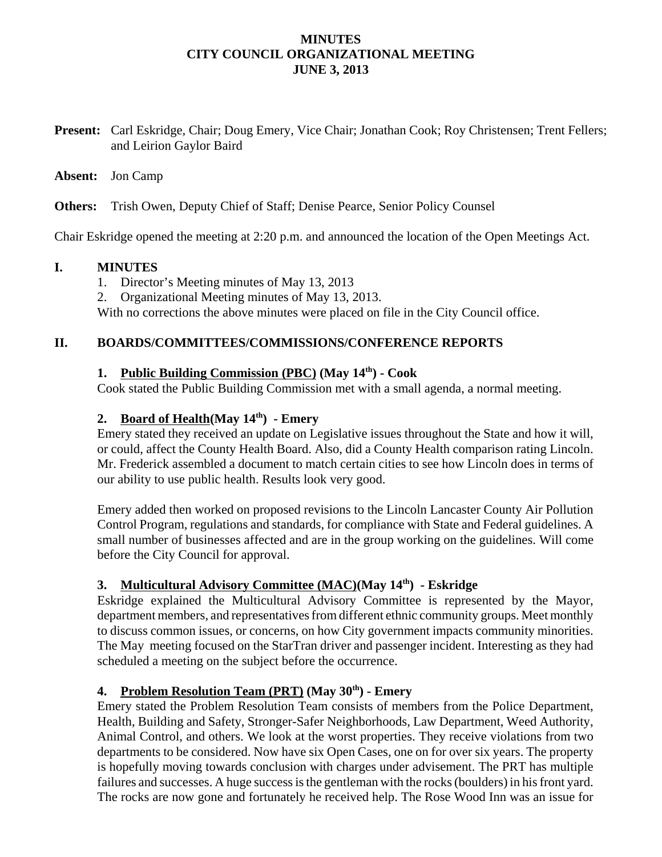## **MINUTES CITY COUNCIL ORGANIZATIONAL MEETING JUNE 3, 2013**

**Present:** Carl Eskridge, Chair; Doug Emery, Vice Chair; Jonathan Cook; Roy Christensen; Trent Fellers; and Leirion Gaylor Baird

#### **Absent:** Jon Camp

**Others:** Trish Owen, Deputy Chief of Staff; Denise Pearce, Senior Policy Counsel

Chair Eskridge opened the meeting at 2:20 p.m. and announced the location of the Open Meetings Act.

### **I. MINUTES**

- 1. Director's Meeting minutes of May 13, 2013
- 2. Organizational Meeting minutes of May 13, 2013.

With no corrections the above minutes were placed on file in the City Council office.

### **II. BOARDS/COMMITTEES/COMMISSIONS/CONFERENCE REPORTS**

# **1. Public Building Commission (PBC) (May 14th) - Cook**

Cook stated the Public Building Commission met with a small agenda, a normal meeting.

# **2. Board of Health(May 14th) - Emery**

Emery stated they received an update on Legislative issues throughout the State and how it will, or could, affect the County Health Board. Also, did a County Health comparison rating Lincoln. Mr. Frederick assembled a document to match certain cities to see how Lincoln does in terms of our ability to use public health. Results look very good.

Emery added then worked on proposed revisions to the Lincoln Lancaster County Air Pollution Control Program, regulations and standards, for compliance with State and Federal guidelines. A small number of businesses affected and are in the group working on the guidelines. Will come before the City Council for approval.

# **3. Multicultural Advisory Committee (MAC)(May 14th) - Eskridge**

Eskridge explained the Multicultural Advisory Committee is represented by the Mayor, department members, and representatives from different ethnic community groups. Meet monthly to discuss common issues, or concerns, on how City government impacts community minorities. The May meeting focused on the StarTran driver and passenger incident. Interesting as they had scheduled a meeting on the subject before the occurrence.

# 4. Problem Resolution Team (PRT) (May 30<sup>th</sup>) - Emery

Emery stated the Problem Resolution Team consists of members from the Police Department, Health, Building and Safety, Stronger-Safer Neighborhoods, Law Department, Weed Authority, Animal Control, and others. We look at the worst properties. They receive violations from two departments to be considered. Now have six Open Cases, one on for over six years. The property is hopefully moving towards conclusion with charges under advisement. The PRT has multiple failures and successes. A huge success is the gentleman with the rocks (boulders) in his front yard. The rocks are now gone and fortunately he received help. The Rose Wood Inn was an issue for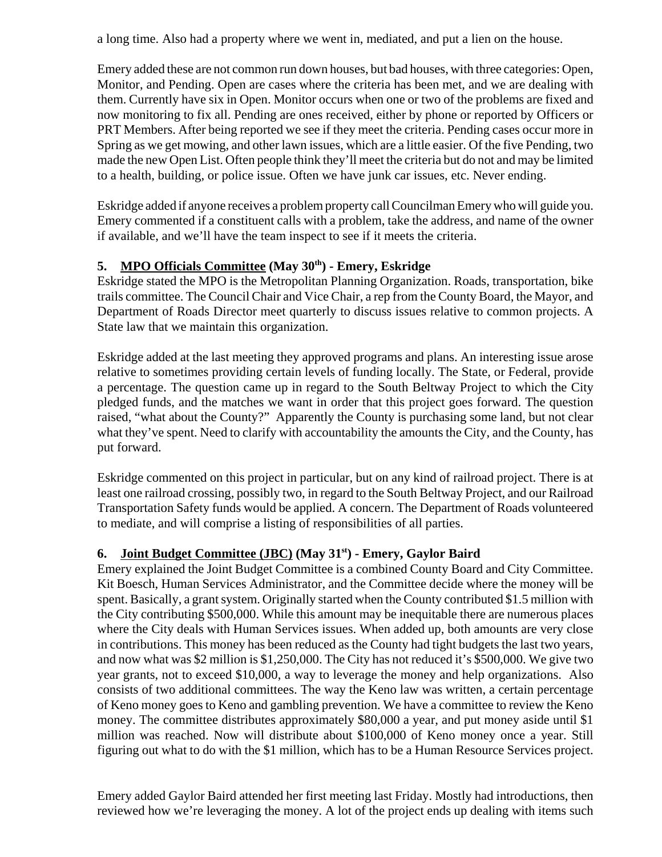a long time. Also had a property where we went in, mediated, and put a lien on the house.

Emery added these are not common run down houses, but bad houses, with three categories: Open, Monitor, and Pending. Open are cases where the criteria has been met, and we are dealing with them. Currently have six in Open. Monitor occurs when one or two of the problems are fixed and now monitoring to fix all. Pending are ones received, either by phone or reported by Officers or PRT Members. After being reported we see if they meet the criteria. Pending cases occur more in Spring as we get mowing, and other lawn issues, which are a little easier. Of the five Pending, two made the new Open List. Often people think they'll meet the criteria but do not and may be limited to a health, building, or police issue. Often we have junk car issues, etc. Never ending.

Eskridge added if anyone receives a problem property call Councilman Emery who will guide you. Emery commented if a constituent calls with a problem, take the address, and name of the owner if available, and we'll have the team inspect to see if it meets the criteria.

# **5. MPO Officials Committee (May 30th) - Emery, Eskridge**

Eskridge stated the MPO is the Metropolitan Planning Organization. Roads, transportation, bike trails committee. The Council Chair and Vice Chair, a rep from the County Board, the Mayor, and Department of Roads Director meet quarterly to discuss issues relative to common projects. A State law that we maintain this organization.

Eskridge added at the last meeting they approved programs and plans. An interesting issue arose relative to sometimes providing certain levels of funding locally. The State, or Federal, provide a percentage. The question came up in regard to the South Beltway Project to which the City pledged funds, and the matches we want in order that this project goes forward. The question raised, "what about the County?" Apparently the County is purchasing some land, but not clear what they've spent. Need to clarify with accountability the amounts the City, and the County, has put forward.

Eskridge commented on this project in particular, but on any kind of railroad project. There is at least one railroad crossing, possibly two, in regard to the South Beltway Project, and our Railroad Transportation Safety funds would be applied. A concern. The Department of Roads volunteered to mediate, and will comprise a listing of responsibilities of all parties.

# **6. Joint Budget Committee (JBC) (May 31st) - Emery, Gaylor Baird**

Emery explained the Joint Budget Committee is a combined County Board and City Committee. Kit Boesch, Human Services Administrator, and the Committee decide where the money will be spent. Basically, a grant system. Originally started when the County contributed \$1.5 million with the City contributing \$500,000. While this amount may be inequitable there are numerous places where the City deals with Human Services issues. When added up, both amounts are very close in contributions. This money has been reduced as the County had tight budgets the last two years, and now what was \$2 million is \$1,250,000. The City has not reduced it's \$500,000. We give two year grants, not to exceed \$10,000, a way to leverage the money and help organizations. Also consists of two additional committees. The way the Keno law was written, a certain percentage of Keno money goes to Keno and gambling prevention. We have a committee to review the Keno money. The committee distributes approximately \$80,000 a year, and put money aside until \$1 million was reached. Now will distribute about \$100,000 of Keno money once a year. Still figuring out what to do with the \$1 million, which has to be a Human Resource Services project.

Emery added Gaylor Baird attended her first meeting last Friday. Mostly had introductions, then reviewed how we're leveraging the money. A lot of the project ends up dealing with items such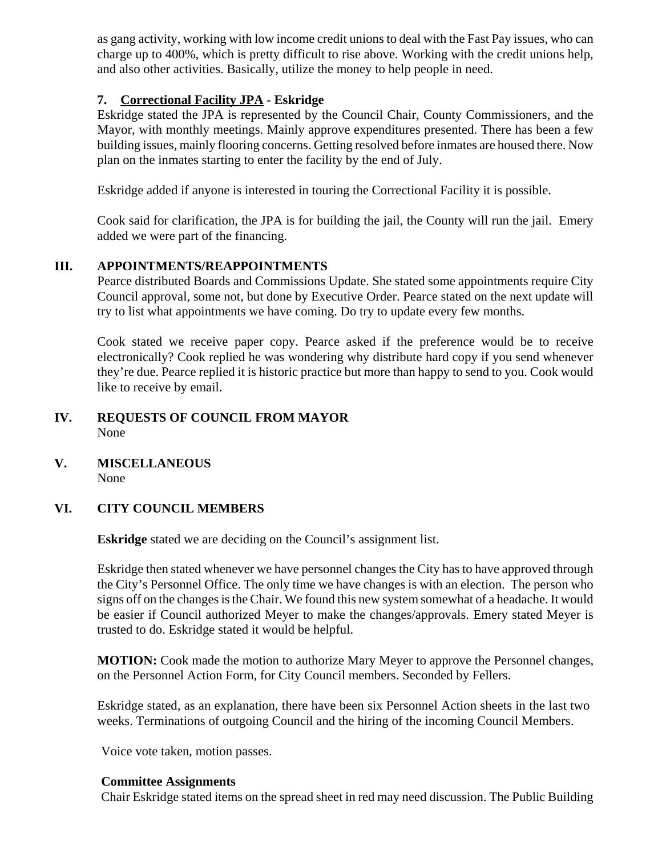as gang activity, working with low income credit unions to deal with the Fast Pay issues, who can charge up to 400%, which is pretty difficult to rise above. Working with the credit unions help, and also other activities. Basically, utilize the money to help people in need.

# **7. Correctional Facility JPA - Eskridge**

Eskridge stated the JPA is represented by the Council Chair, County Commissioners, and the Mayor, with monthly meetings. Mainly approve expenditures presented. There has been a few building issues, mainly flooring concerns. Getting resolved before inmates are housed there. Now plan on the inmates starting to enter the facility by the end of July.

Eskridge added if anyone is interested in touring the Correctional Facility it is possible.

Cook said for clarification, the JPA is for building the jail, the County will run the jail. Emery added we were part of the financing.

# **III. APPOINTMENTS/REAPPOINTMENTS**

Pearce distributed Boards and Commissions Update. She stated some appointments require City Council approval, some not, but done by Executive Order. Pearce stated on the next update will try to list what appointments we have coming. Do try to update every few months.

Cook stated we receive paper copy. Pearce asked if the preference would be to receive electronically? Cook replied he was wondering why distribute hard copy if you send whenever they're due. Pearce replied it is historic practice but more than happy to send to you. Cook would like to receive by email.

# **IV. REQUESTS OF COUNCIL FROM MAYOR** None

**V. MISCELLANEOUS** None

# **VI. CITY COUNCIL MEMBERS**

**Eskridge** stated we are deciding on the Council's assignment list.

Eskridge then stated whenever we have personnel changes the City has to have approved through the City's Personnel Office. The only time we have changes is with an election. The person who signs off on the changes is the Chair. We found this new system somewhat of a headache. It would be easier if Council authorized Meyer to make the changes/approvals. Emery stated Meyer is trusted to do. Eskridge stated it would be helpful.

**MOTION:** Cook made the motion to authorize Mary Meyer to approve the Personnel changes, on the Personnel Action Form, for City Council members. Seconded by Fellers.

Eskridge stated, as an explanation, there have been six Personnel Action sheets in the last two weeks. Terminations of outgoing Council and the hiring of the incoming Council Members.

Voice vote taken, motion passes.

#### **Committee Assignments**

Chair Eskridge stated items on the spread sheet in red may need discussion. The Public Building